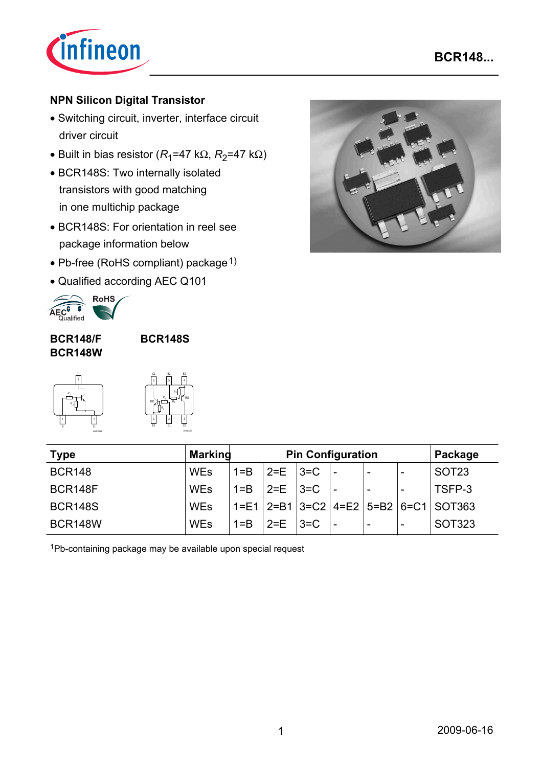

# **NPN Silicon Digital Transistor**

- Switching circuit, inverter, interface circuit driver circuit
- Built in bias resistor ( $R_1$ =47 k $\Omega$ ,  $R_2$ =47 k $\Omega$ )
- BCR148S: Two internally isolated transistors with good matching in one multichip package
- BCR148S: For orientation in reel see package information below
- Pb-free (RoHS compliant) package  $1$ )
- Qualified according AEC Q101



#### **BCR148/F BCR148W**

**BCR148S**



|     | C1<br>6 |                | B <sub>2</sub><br>5 |                        | E <sub>2</sub> |                 |
|-----|---------|----------------|---------------------|------------------------|----------------|-----------------|
| TR1 |         | R.             |                     | R,<br>$\overline{R_1}$ |                | TR <sub>2</sub> |
|     |         | $\mathsf{R}_2$ |                     |                        |                |                 |

EHA07174

| <b>Type</b>    | <b>Marking</b> | <b>Pin Configuration</b> |                   |        | Package                  |                          |                                                      |
|----------------|----------------|--------------------------|-------------------|--------|--------------------------|--------------------------|------------------------------------------------------|
| <b>BCR148</b>  | <b>WEs</b>     | $1 = B$                  | $2=E$ $ 3=C$      |        | -                        | $\overline{\phantom{0}}$ | SOT <sub>23</sub>                                    |
| BCR148F        | <b>WEs</b>     | $1 = B$                  | $2 = E$   $3 = C$ |        | $\overline{\phantom{a}}$ | $\overline{\phantom{a}}$ | TSFP-3                                               |
| <b>BCR148S</b> | <b>WEs</b>     |                          |                   |        |                          |                          | $1 = E1$   2=B1   3=C2   4=E2   5=B2   6=C1   SOT363 |
| <b>BCR148W</b> | <b>WEs</b>     | $1 = B$                  | $2=F$             | $3=$ C | $\overline{\phantom{0}}$ | -                        | <b>SOT323</b>                                        |

1Pb-containing package may be available upon special request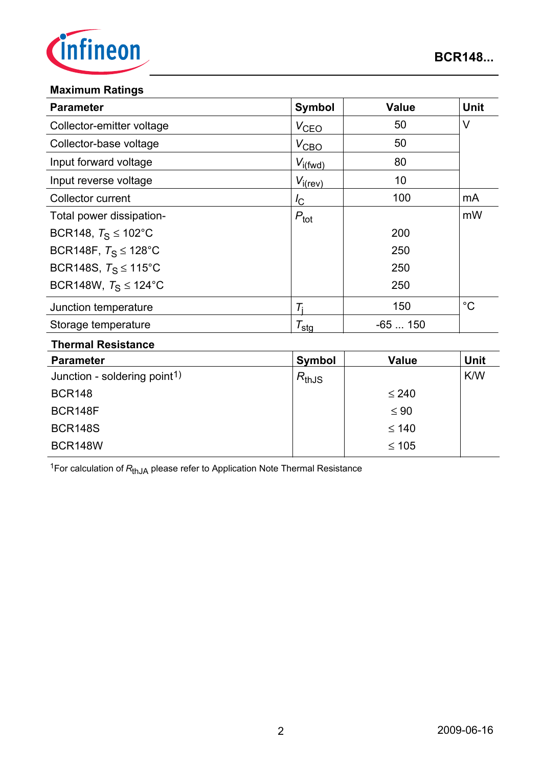

#### **Maximum Ratings**

| <b>Parameter</b>                 | <b>Symbol</b>       | <b>Value</b> | <b>Unit</b> |
|----------------------------------|---------------------|--------------|-------------|
| Collector-emitter voltage        | $V_{\text{CEO}}$    | 50           | V           |
| Collector-base voltage           | $V_{\text{CBO}}$    | 50           |             |
| Input forward voltage            | $V_{i(fwd})$        | 80           |             |
| Input reverse voltage            | $V_{i(rev)}$        | 10           |             |
| Collector current                | $I_{\rm C}$         | 100          | mA          |
| Total power dissipation-         | $P_{\text{tot}}$    |              | mW          |
| BCR148, $T_S \le 102^{\circ}$ C  |                     | 200          |             |
| BCR148F, $T_S \le 128^{\circ}$ C |                     | 250          |             |
| BCR148S, $T_S \le 115^{\circ}$ C |                     | 250          |             |
| BCR148W, $T_S \le 124$ °C        |                     | 250          |             |
| Junction temperature             | Ti                  | 150          | $^{\circ}C$ |
| Storage temperature              | $\tau_{\text{stg}}$ | $-65150$     |             |
| Thampal Daalatan.                |                     |              |             |

#### **Thermal Resistance**

| <b>Parameter</b>                         | Symbol     | <b>Value</b> | <b>Unit</b> |
|------------------------------------------|------------|--------------|-------------|
| Junction - soldering point <sup>1)</sup> | $R_{thJS}$ |              | <b>K/W</b>  |
| <b>BCR148</b>                            |            | $\leq 240$   |             |
| BCR148F                                  |            | $\leq 90$    |             |
| <b>BCR148S</b>                           |            | $\leq 140$   |             |
| <b>BCR148W</b>                           |            | $≤ 105$      |             |

<sup>1</sup>For calculation of  $R_{thJA}$  please refer to Application Note Thermal Resistance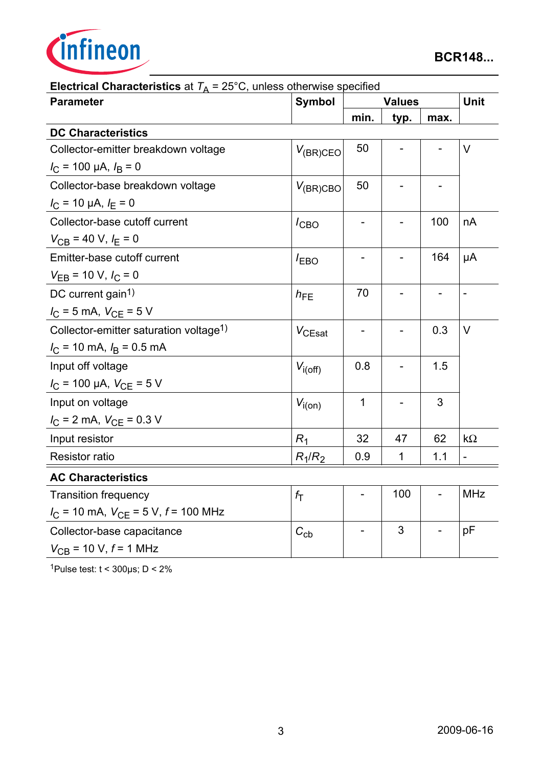

| $\mu$ . The property is the $\mu$ and $\mu$ and $\mu$ and $\mu$ and $\mu$ and $\mu$<br><b>Parameter</b> | <b>Symbol</b>  |              | <b>Values</b> |                          |                          |  |
|---------------------------------------------------------------------------------------------------------|----------------|--------------|---------------|--------------------------|--------------------------|--|
|                                                                                                         |                | min.         | typ.          | max.                     |                          |  |
| <b>DC Characteristics</b>                                                                               |                |              |               |                          |                          |  |
| Collector-emitter breakdown voltage                                                                     | $V_{(BR)CEO}$  | 50           |               |                          | $\vee$                   |  |
| $I_{\rm C}$ = 100 µA, $I_{\rm B}$ = 0                                                                   |                |              |               |                          |                          |  |
| Collector-base breakdown voltage                                                                        | $V_{(BR)CBO}$  | 50           |               |                          |                          |  |
| $I_{\rm C}$ = 10 µA, $I_{\rm E}$ = 0                                                                    |                |              |               |                          |                          |  |
| Collector-base cutoff current                                                                           | $I_{CBO}$      |              |               | 100                      | nA                       |  |
| $V_{CB}$ = 40 V, $I_E$ = 0                                                                              |                |              |               |                          |                          |  |
| Emitter-base cutoff current                                                                             | $I_{EBO}$      |              |               | 164                      | μA                       |  |
| $V_{EB}$ = 10 V, $I_C$ = 0                                                                              |                |              |               |                          |                          |  |
| DC current gain <sup>1)</sup>                                                                           | $h_{FE}$       | 70           |               |                          | $\overline{\phantom{a}}$ |  |
| $I_C = 5$ mA, $V_{CE} = 5$ V                                                                            |                |              |               |                          |                          |  |
| Collector-emitter saturation voltage <sup>1)</sup>                                                      | $V_{CEsat}$    |              |               | 0.3                      | $\vee$                   |  |
| $I_C$ = 10 mA, $I_B$ = 0.5 mA                                                                           |                |              |               |                          |                          |  |
| Input off voltage                                                                                       | $V_{i(off)}$   | 0.8          |               | 1.5                      |                          |  |
| $I_{\rm C}$ = 100 µA, $V_{\rm CE}$ = 5 V                                                                |                |              |               |                          |                          |  |
| Input on voltage                                                                                        | $V_{i(0n)}$    | $\mathbf{1}$ |               | 3                        |                          |  |
| $I_{\rm C}$ = 2 mA, $V_{\rm CE}$ = 0.3 V                                                                |                |              |               |                          |                          |  |
| Input resistor                                                                                          | R <sub>1</sub> | 32           | 47            | 62                       | $k\Omega$                |  |
| <b>Resistor ratio</b>                                                                                   | $R_1/R_2$      | 0.9          | 1             | 1.1                      | $\blacksquare$           |  |
| <b>AC Characteristics</b>                                                                               |                |              |               |                          |                          |  |
| <b>Transition frequency</b>                                                                             | $f_{\rm T}$    |              | 100           | $\overline{\phantom{0}}$ | <b>MHz</b>               |  |
| $I_{\text{C}}$ = 10 mA, $V_{\text{CE}}$ = 5 V, $f$ = 100 MHz                                            |                |              |               |                          |                          |  |
| Collector-base capacitance                                                                              | $C_{cb}$       |              | 3             |                          | pF                       |  |
| $V_{CB}$ = 10 V, $f$ = 1 MHz                                                                            |                |              |               |                          |                          |  |

**Electrical Characteristics** at  $T_A = 25^\circ \text{C}$ , unless otherwise specified

1Pulse test:  $t < 300 \mu s$ ; D < 2%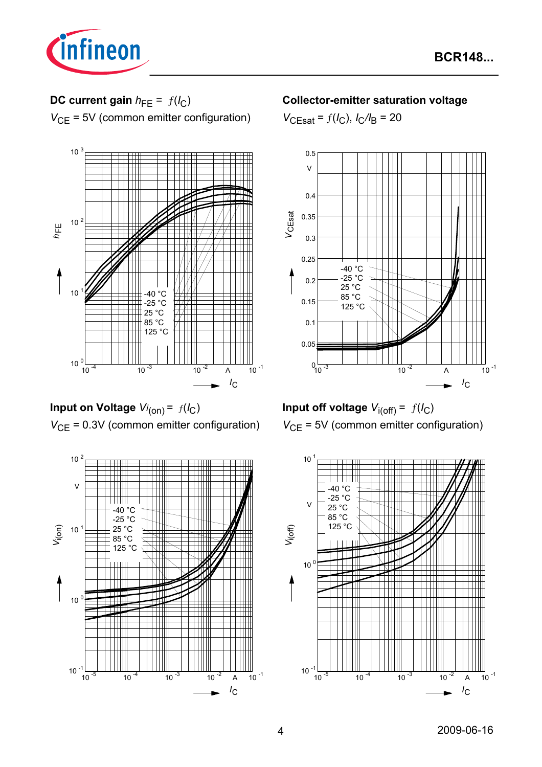

# **DC current gain**  $h_{FE} = f(l_C)$

*V*<sub>CE</sub> = 5V (common emitter configuration)



**Input on Voltage**  $Vi_{(on)} = f(I_C)$ *V*<sub>CE</sub> = 0.3V (common emitter configuration)



#### **Collector-emitter saturation voltage**

 $V_{\text{CEsat}} = f(I_C)$ ,  $I_C/I_B = 20$ 





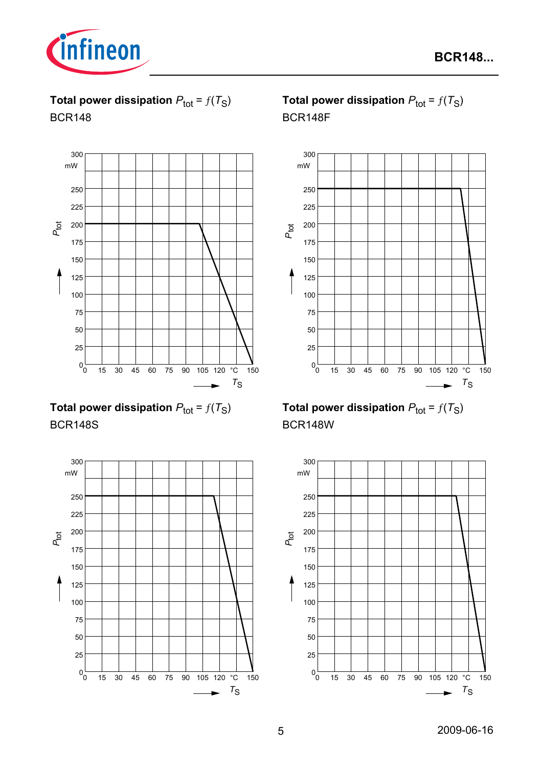

**Total power dissipation**  $P_{\text{tot}} = f(T_S)$ BCR148



**Total power dissipation**  $P_{\text{tot}} = f(T_S)$ BCR148S



# **Total power dissipation**  $P_{\text{tot}} = f(T_S)$ BCR148F



# **Total power dissipation**  $P_{\text{tot}} = f(T_S)$ BCR148W

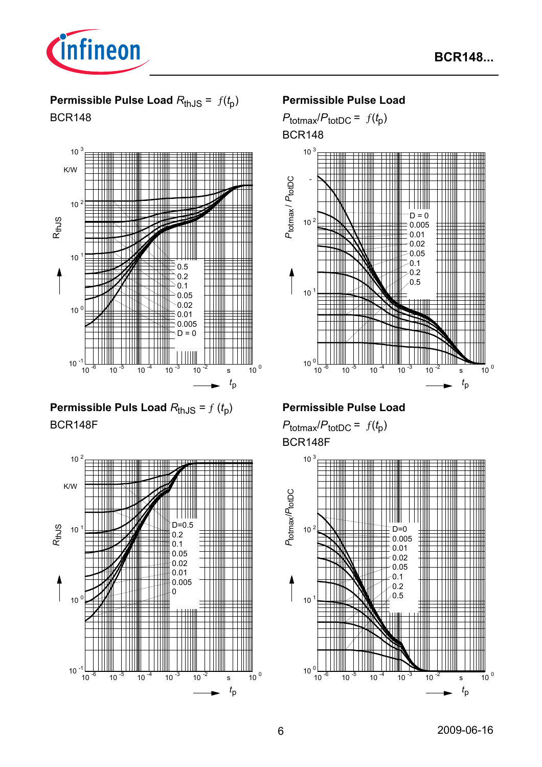



**Permissible Pulse Load** *R*thJS = ƒ(*t* p) BCR148



**Permissible Puls Load**  $R_{thJS} = f(t_p)$ BCR148F



#### **Permissible Pulse Load**

 $P_{\text{totmax}}/P_{\text{totDC}} = f(t_p)$ 

BCR148



# **Permissible Pulse Load**

 $P_{\text{totmax}}/P_{\text{totDC}} = f(t_p)$ BCR148F

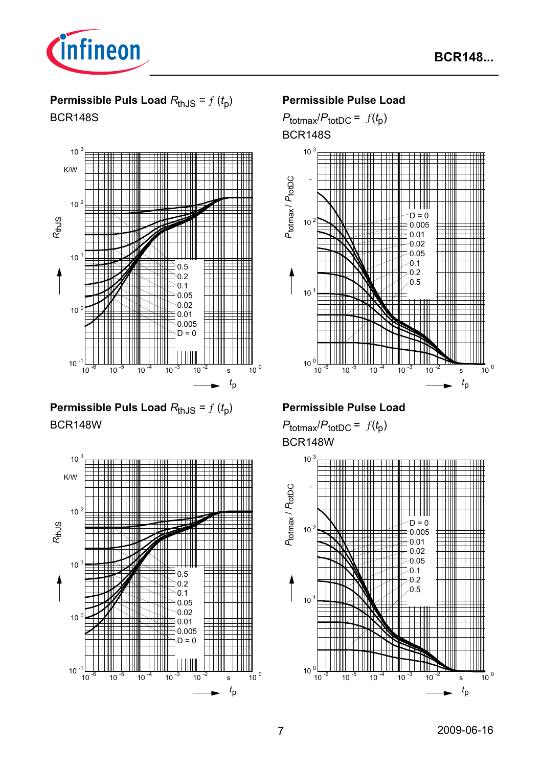

# **Permissible Puls Load**  $R_{thJS} = f(t_p)$ BCR148S



**Permissible Puls Load**  $R_{thJS} = f(t_p)$ BCR148W



## **Permissible Pulse Load**

 $P_{\text{totmax}}/P_{\text{totDC}} = f(t_p)$ BCR148S



## **Permissible Pulse Load**

 $P_{\text{totmax}}/P_{\text{totDC}} = f(t_p)$ BCR148W

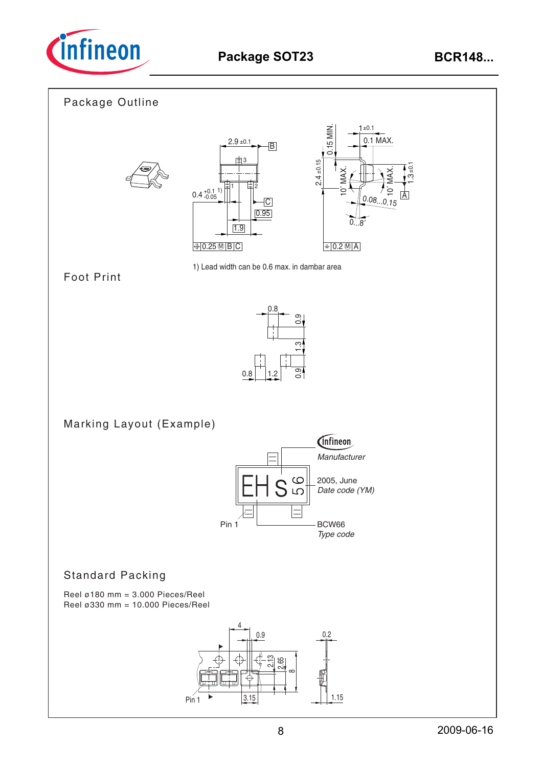

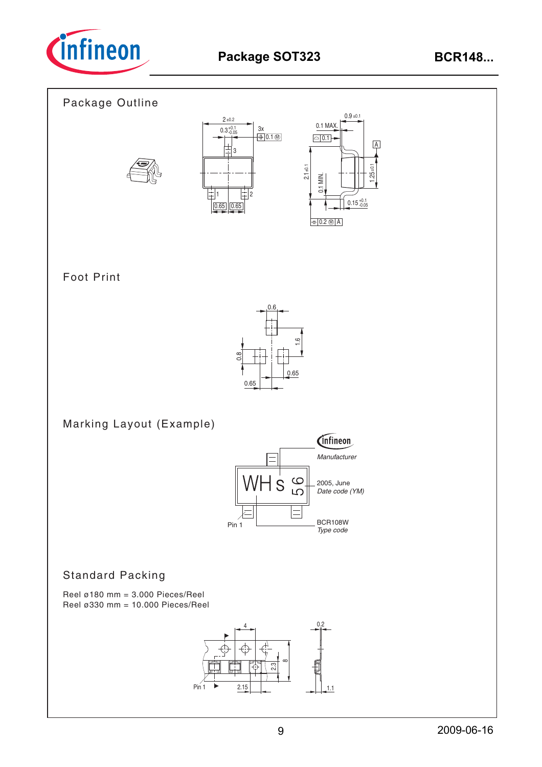

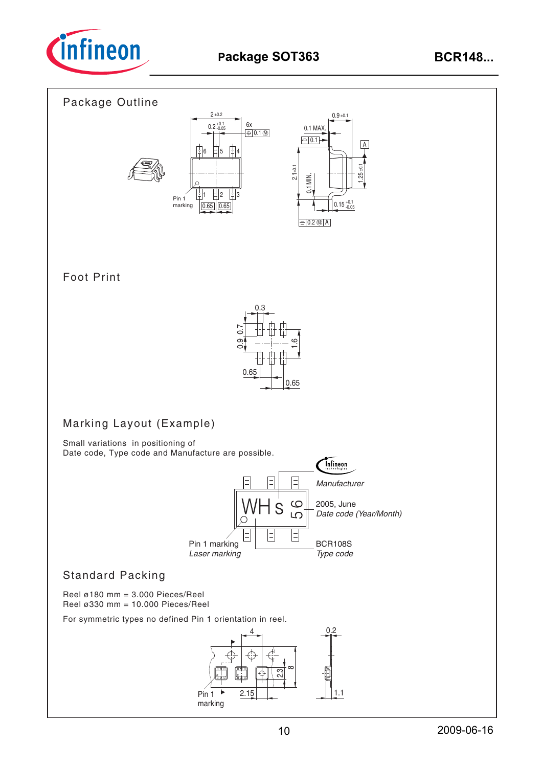

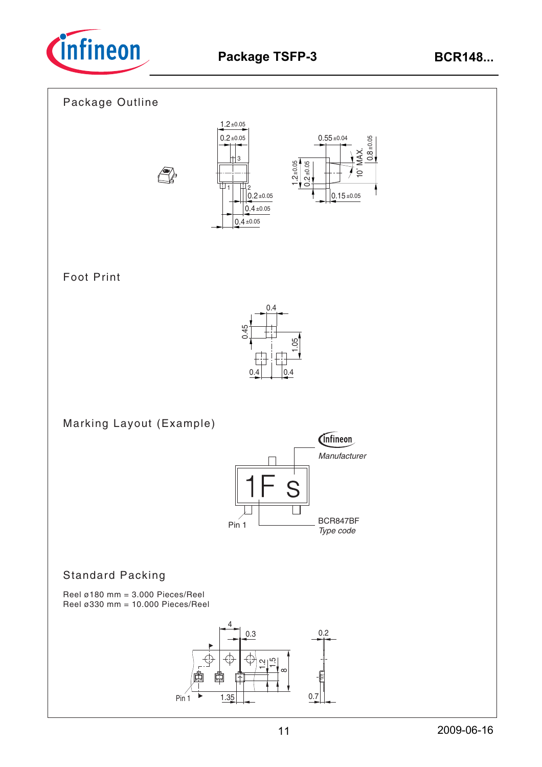







10˚ MAX.

 $0.15 \pm 0.05$ 

±0.05 0.<br>0.

# Foot Print



Marking Layout (Example)



# Standard Packing

Reel ø180 mm = 3.000 Pieces/Reel Reel ø330 mm = 10.000 Pieces/Reel